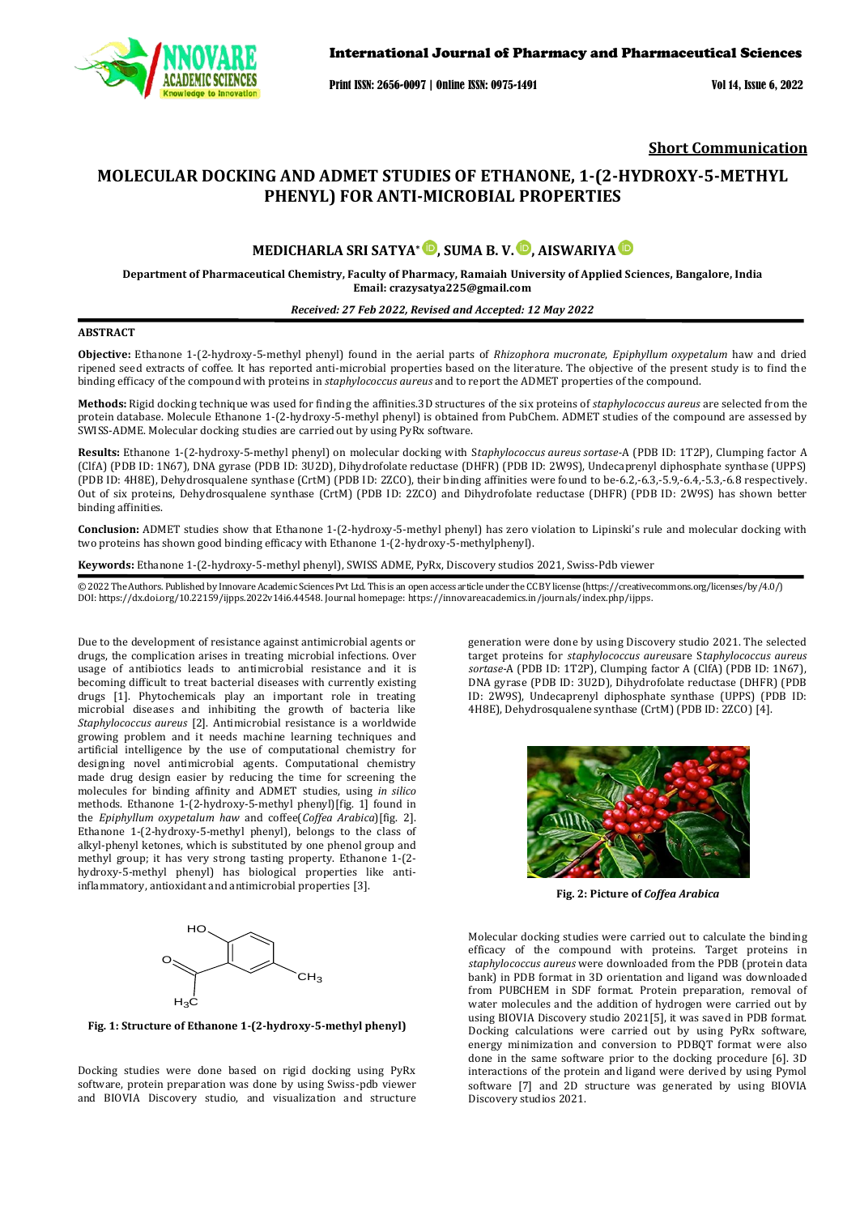

Print ISSN: 2656-0097 | Online ISSN: 0975-1491 Vol 14, Issue 6, 2022

## **Short Communication**

# **MOLECULAR DOCKING AND ADMET STUDIES OF ETHANONE, 1-(2-HYDROXY-5-METHYL PHENYL) FOR ANTI-MICROBIAL PROPERTIES**

## **MEDICHARLA SRI SATYA\* , SUMA B. V. , AISWARIYA**

**Department of Pharmaceutical Chemistry, Faculty of Pharmacy, Ramaiah University of Applied Sciences, Bangalore, India Email: [crazysatya225@gmail.com](mailto:crazysatya225@gmail.com)**

#### *Received: 27 Feb 2022, Revised and Accepted: 12 May 2022*

## **ABSTRACT**

**Objective:** Ethanone 1-(2-hydroxy-5-methyl phenyl) found in the aerial parts of *Rhizophora mucronate*, *Epiphyllum oxypetalum* haw and dried ripened seed extracts of coffee. It has reported anti-microbial properties based on the literature. The objective of the present study is to find the binding efficacy of the compound with proteins in *staphylococcus aureus* and to report the ADMET properties of the compound.

**Methods:** Rigid docking technique was used for finding the affinities.3D structures of the six proteins of *staphylococcus aureus* are selected from the protein database. Molecule Ethanone 1-(2-hydroxy-5-methyl phenyl) is obtained from PubChem. ADMET studies of the compound are assessed by SWISS-ADME. Molecular docking studies are carried out by using PyRx software.

**Results:** Ethanone 1-(2-hydroxy-5-methyl phenyl) on molecular docking with S*taphylococcus aureus sortase-*A (PDB ID: 1T2P), Clumping factor A (ClfA) (PDB ID: 1N67), DNA gyrase (PDB ID: 3U2D), Dihydrofolate reductase (DHFR) (PDB ID: 2W9S), Undecaprenyl diphosphate synthase (UPPS) (PDB ID: 4H8E), Dehydrosqualene synthase (CrtM) (PDB ID: 2ZCO), their binding affinities were found to be-6.2,-6.3,-5.9,-6.4,-5.3,-6.8 respectively. Out of six proteins, Dehydrosqualene synthase (CrtM) (PDB ID: 2ZCO) and Dihydrofolate reductase (DHFR) (PDB ID: 2W9S) has shown better binding affinities.

**Conclusion:** ADMET studies show that Ethanone 1-(2-hydroxy-5-methyl phenyl) has zero violation to Lipinski's rule and molecular docking with two proteins has shown good binding efficacy with Ethanone 1-(2-hydroxy-5-methylphenyl).

**Keywords:** Ethanone 1-(2-hydroxy-5-methyl phenyl), SWISS ADME, PyRx, Discovery studios 2021, Swiss-Pdb viewer

© 2022 The Authors. Published by Innovare Academic Sciences Pvt Ltd. This is an open access article under the CC BY license [\(https://creativecommons.org/licenses/by/4.0/\)](https://creativecommons.org/licenses/by/4.0/) DOI: https://dx.doi.org/10.22159/ijpps.2022v14i6.44548. Journal homepage[: https://innovareacademics.in/journals/index.php/ijpps.](https://innovareacademics.in/journals/index.php/ijpps) 

Due to the development of resistance against antimicrobial agents or drugs, the complication arises in treating microbial infections. Over usage of antibiotics leads to antimicrobial resistance and it is becoming difficult to treat bacterial diseases with currently existing drugs [1]. Phytochemicals play an important role in treating microbial diseases and inhibiting the growth of bacteria like *Staphylococcus aureus* [2]. Antimicrobial resistance is a worldwide growing problem and it needs machine learning techniques and artificial intelligence by the use of computational chemistry for designing novel antimicrobial agents. Computational chemistry made drug design easier by reducing the time for screening the molecules for binding affinity and ADMET studies, using *in silico* methods. Ethanone 1-(2-hydroxy-5-methyl phenyl)[fig. 1] found in the *Epiphyllum oxypetalum haw* and coffee(*Coffea Arabica*)[fig. 2]. Ethanone 1-(2-hydroxy-5-methyl phenyl), belongs to the class of alkyl-phenyl ketones, which is substituted by one phenol group and methyl group; it has very strong tasting property. Ethanone 1-(2 hydroxy-5-methyl phenyl) has biological properties like antiinflammatory, antioxidant and antimicrobial properties [3].



**Fig.1**structure of Ethanone **Fig. 1: Structure of Ethanone 1-(2-hydroxy-5-methyl phenyl)**  $\mathcal{L}$  and  $\mathcal{L}$  methylogeneous phenyl phenyl phenyl phenyl phenyl phenyl phenyl phenyl phenyl phenyl phenyl phenyl phenyl phenyl phenyl phenyl phenyl phenyl phenyl phenyl phenyl phenyl phenyl phenyl phenyl phenyl ph

Docking studies were done based on rigid docking using PyRx software, protein preparation was done by using Swiss-pdb viewer and BIOVIA Discovery studio, and visualization and structure generation were done by using Discovery studio 2021. The selected target proteins for *staphylococcus aureus*are S*taphylococcus aureus sortase-*A (PDB ID: 1T2P), Clumping factor A (ClfA) (PDB ID: 1N67), DNA gyrase (PDB ID: 3U2D), Dihydrofolate reductase (DHFR) (PDB ID: 2W9S), Undecaprenyl diphosphate synthase (UPPS) (PDB ID: 4H8E), Dehydrosqualene synthase (CrtM) (PDB ID: 2ZCO) [4].



**Fig. 2: Picture of** *Coffea Arabica*

Molecular docking studies were carried out to calculate the binding efficacy of the compound with proteins. Target proteins in *staphylococcus aureus* were downloaded from the PDB (protein data bank) in PDB format in 3D orientation and ligand was downloaded from PUBCHEM in SDF format. Protein preparation, removal of water molecules and the addition of hydrogen were carried out by using BIOVIA Discovery studio 2021[5], it was saved in PDB format. Docking calculations were carried out by using PyRx software, energy minimization and conversion to PDBQT format were also done in the same software prior to the docking procedure [6]. 3D interactions of the protein and ligand were derived by using Pymol software [7] and 2D structure was generated by using BIOVIA Discovery studios 2021.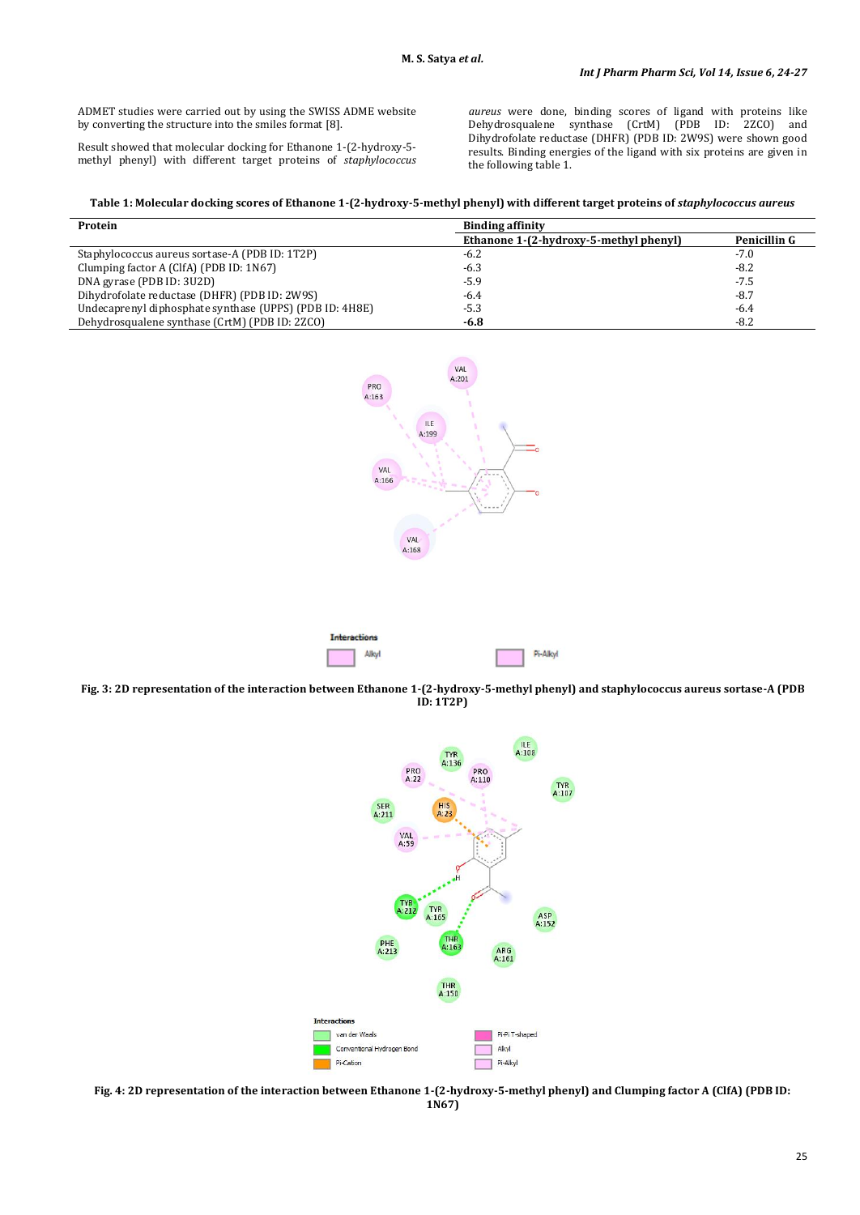ADMET studies were carried out by using the SWISS ADME website by converting the structure into the smiles format [8].

Result showed that molecular docking for Ethanone 1-(2-hydroxy-5 methyl phenyl) with different target proteins of *staphylococcus*  *aureus* were done, binding scores of ligand with proteins like Dehydrosqualene synthase (CrtM) (PDB ID: 2ZCO) and Dihydrofolate reductase (DHFR) (PDB ID: 2W9S) were shown good results. Binding energies of the ligand with six proteins are given in the following table 1.

#### Table 1: Molecular docking scores of Ethanone 1-(2-hydroxy-5-methyl phenyl) with different target proteins of *staphylococcus aureus*

| Protein                                                 | <b>Binding affinity</b>                |              |
|---------------------------------------------------------|----------------------------------------|--------------|
|                                                         | Ethanone 1-(2-hydroxy-5-methyl phenyl) | Penicillin G |
| Staphylococcus aureus sortase-A (PDB ID: 1T2P)          | $-6.2$                                 | $-7.0$       |
| Clumping factor A (ClfA) (PDB ID: 1N67)                 | $-6.3$                                 | $-8.2$       |
| DNA gyrase (PDB ID: 3U2D)                               | $-5.9$                                 | $-7.5$       |
| Dihydrofolate reductase (DHFR) (PDB ID: 2W9S)           | $-6.4$                                 | $-8.7$       |
| Undecaprenyl diphosphate synthase (UPPS) (PDB ID: 4H8E) | $-5.3$                                 | $-6.4$       |
| Dehydrosqualene synthase (CrtM) (PDB ID: 2ZCO)          | $-6.8$                                 | $-8.2$       |





**Fig. 3: 2D representation of the interaction between Ethanone 1-(2-hydroxy-5-methyl phenyl) and staphylococcus aureus sortase-A (PDB ID: 1T2P)**



**Fig. 4: 2D representation of the interaction between Ethanone 1-(2-hydroxy-5-methyl phenyl) and Clumping factor A (ClfA) (PDB ID: 1N67)**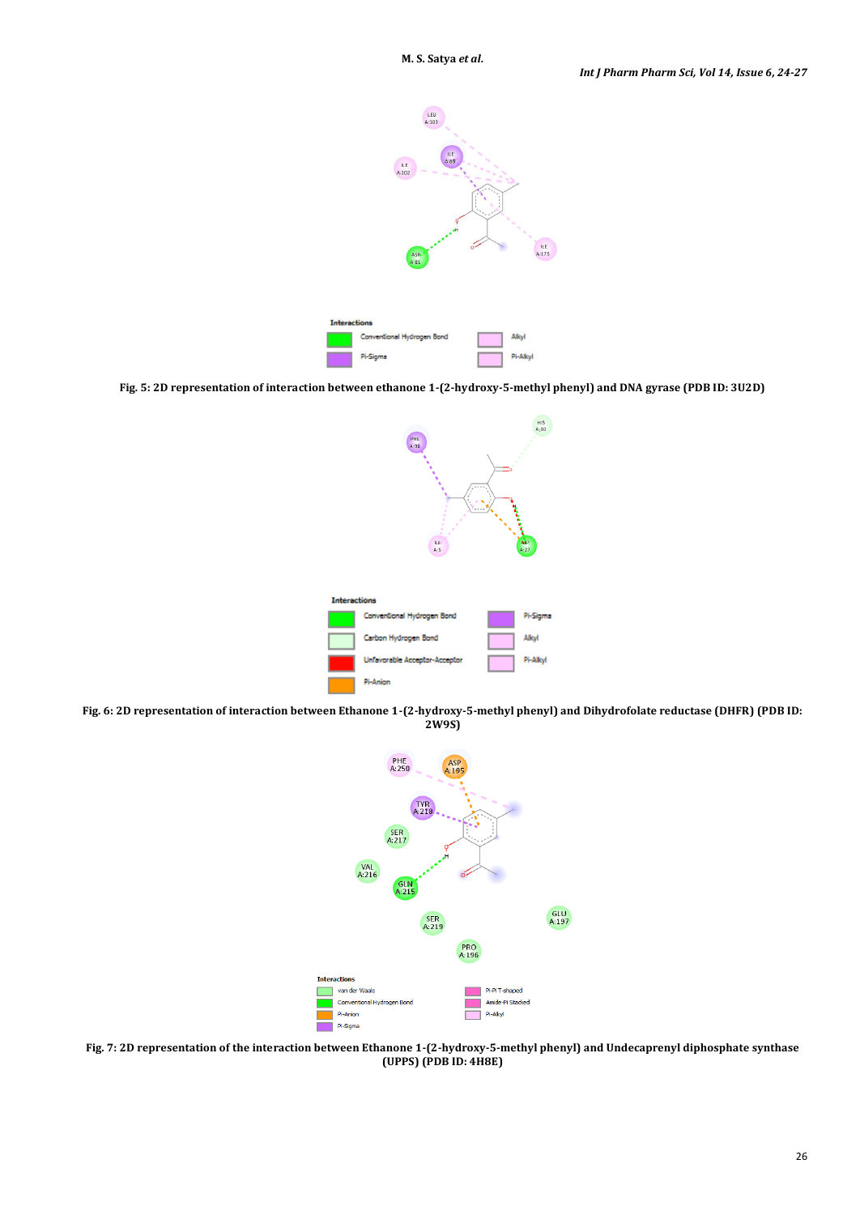

**Fig. 5: 2D representation of interaction between ethanone 1-(2-hydroxy-5-methyl phenyl) and DNA gyrase (PDB ID: 3U2D)**



**Fig. 6: 2D representation of interaction between Ethanone 1-(2-hydroxy-5-methyl phenyl) and Dihydrofolate reductase (DHFR) (PDB ID: 2W9S)**



**Fig. 7: 2D representation of the interaction between Ethanone 1-(2-hydroxy-5-methyl phenyl) and Undecaprenyl diphosphate synthase (UPPS) (PDB ID: 4H8E)**